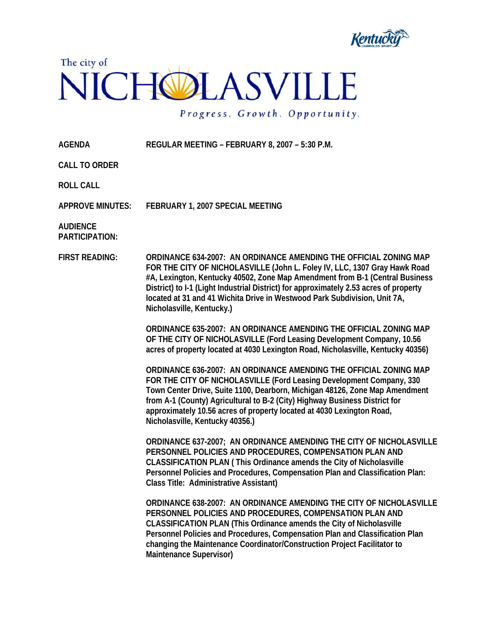



Progress. Growth. Opportunity.

**AGENDA REGULAR MEETING – FEBRUARY 8, 2007 – 5:30 P.M.** 

**CALL TO ORDER** 

**ROLL CALL** 

**APPROVE MINUTES: FEBRUARY 1, 2007 SPECIAL MEETING** 

**AUDIENCE PARTICIPATION:** 

**FIRST READING: ORDINANCE 634-2007: AN ORDINANCE AMENDING THE OFFICIAL ZONING MAP FOR THE CITY OF NICHOLASVILLE (John L. Foley IV, LLC, 1307 Gray Hawk Road #A, Lexington, Kentucky 40502, Zone Map Amendment from B-1 (Central Business District) to I-1 (Light Industrial District) for approximately 2.53 acres of property located at 31 and 41 Wichita Drive in Westwood Park Subdivision, Unit 7A, Nicholasville, Kentucky.)** 

> **ORDINANCE 635-2007: AN ORDINANCE AMENDING THE OFFICIAL ZONING MAP OF THE CITY OF NICHOLASVILLE (Ford Leasing Development Company, 10.56 acres of property located at 4030 Lexington Road, Nicholasville, Kentucky 40356)**

> **ORDINANCE 636-2007: AN ORDINANCE AMENDING THE OFFICIAL ZONING MAP FOR THE CITY OF NICHOLASVILLE (Ford Leasing Development Company, 330 Town Center Drive, Suite 1100, Dearborn, Michigan 48126, Zone Map Amendment from A-1 (County) Agricultural to B-2 (City) Highway Business District for approximately 10.56 acres of property located at 4030 Lexington Road, Nicholasville, Kentucky 40356.)**

**ORDINANCE 637-2007; AN ORDINANCE AMENDING THE CITY OF NICHOLASVILLE PERSONNEL POLICIES AND PROCEDURES, COMPENSATION PLAN AND CLASSIFICATION PLAN ( This Ordinance amends the City of Nicholasville Personnel Policies and Procedures, Compensation Plan and Classification Plan: Class Title: Administrative Assistant)** 

**ORDINANCE 638-2007: AN ORDINANCE AMENDING THE CITY OF NICHOLASVILLE PERSONNEL POLICIES AND PROCEDURES, COMPENSATION PLAN AND CLASSIFICATION PLAN (This Ordinance amends the City of Nicholasville Personnel Policies and Procedures, Compensation Plan and Classification Plan changing the Maintenance Coordinator/Construction Project Facilitator to Maintenance Supervisor)**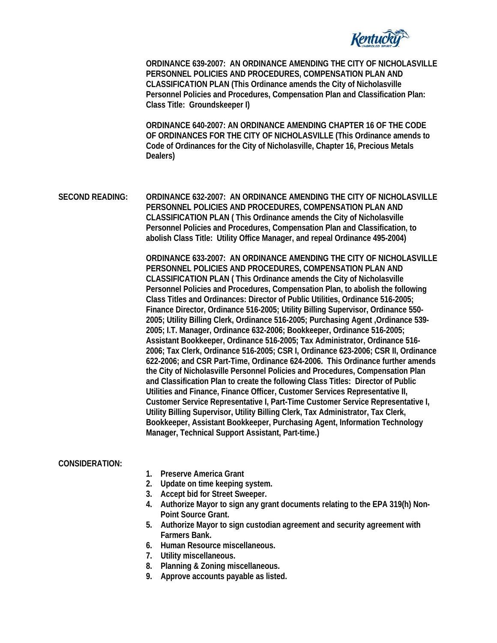

**ORDINANCE 639-2007: AN ORDINANCE AMENDING THE CITY OF NICHOLASVILLE PERSONNEL POLICIES AND PROCEDURES, COMPENSATION PLAN AND CLASSIFICATION PLAN (This Ordinance amends the City of Nicholasville Personnel Policies and Procedures, Compensation Plan and Classification Plan: Class Title: Groundskeeper I)** 

**ORDINANCE 640-2007: AN ORDINANCE AMENDING CHAPTER 16 OF THE CODE OF ORDINANCES FOR THE CITY OF NICHOLASVILLE (This Ordinance amends to Code of Ordinances for the City of Nicholasville, Chapter 16, Precious Metals Dealers)** 

**SECOND READING: ORDINANCE 632-2007: AN ORDINANCE AMENDING THE CITY OF NICHOLASVILLE PERSONNEL POLICIES AND PROCEDURES, COMPENSATION PLAN AND CLASSIFICATION PLAN ( This Ordinance amends the City of Nicholasville Personnel Policies and Procedures, Compensation Plan and Classification, to abolish Class Title: Utility Office Manager, and repeal Ordinance 495-2004)** 

> **ORDINANCE 633-2007: AN ORDINANCE AMENDING THE CITY OF NICHOLASVILLE PERSONNEL POLICIES AND PROCEDURES, COMPENSATION PLAN AND CLASSIFICATION PLAN ( This Ordinance amends the City of Nicholasville Personnel Policies and Procedures, Compensation Plan, to abolish the following Class Titles and Ordinances: Director of Public Utilities, Ordinance 516-2005; Finance Director, Ordinance 516-2005; Utility Billing Supervisor, Ordinance 550- 2005; Utility Billing Clerk, Ordinance 516-2005; Purchasing Agent ,Ordinance 539- 2005; I.T. Manager, Ordinance 632-2006; Bookkeeper, Ordinance 516-2005; Assistant Bookkeeper, Ordinance 516-2005; Tax Administrator, Ordinance 516- 2006; Tax Clerk, Ordinance 516-2005; CSR I, Ordinance 623-2006; CSR II, Ordinance 622-2006; and CSR Part-Time, Ordinance 624-2006. This Ordinance further amends the City of Nicholasville Personnel Policies and Procedures, Compensation Plan and Classification Plan to create the following Class Titles: Director of Public Utilities and Finance, Finance Officer, Customer Services Representative II, Customer Service Representative I, Part-Time Customer Service Representative I, Utility Billing Supervisor, Utility Billing Clerk, Tax Administrator, Tax Clerk, Bookkeeper, Assistant Bookkeeper, Purchasing Agent, Information Technology Manager, Technical Support Assistant, Part-time.)**

## **CONSIDERATION:**

- **1. Preserve America Grant**
- **2. Update on time keeping system.**
- **3. Accept bid for Street Sweeper.**
- **4. Authorize Mayor to sign any grant documents relating to the EPA 319(h) Non-Point Source Grant.**
- **5. Authorize Mayor to sign custodian agreement and security agreement with Farmers Bank.**
- **6. Human Resource miscellaneous.**
- **7. Utility miscellaneous.**
- **8. Planning & Zoning miscellaneous.**
- **9. Approve accounts payable as listed.**